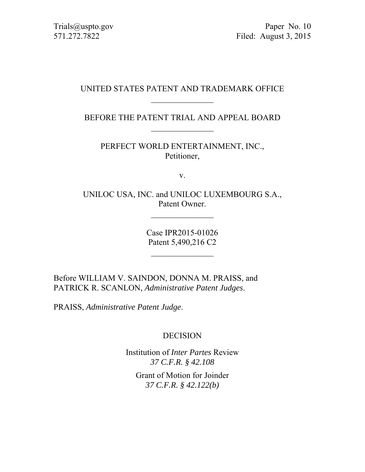Trials@uspto.gov Paper No. 10 571.272.7822 Filed: August 3, 2015

### UNITED STATES PATENT AND TRADEMARK OFFICE  $\frac{1}{2}$

BEFORE THE PATENT TRIAL AND APPEAL BOARD

PERFECT WORLD ENTERTAINMENT, INC., Petitioner,

v.

UNILOC USA, INC. and UNILOC LUXEMBOURG S.A., Patent Owner.

> Case IPR2015-01026 Patent 5,490,216 C2

Before WILLIAM V. SAINDON, DONNA M. PRAISS, and PATRICK R. SCANLON, *Administrative Patent Judges*.

PRAISS, *Administrative Patent Judge*.

## DECISION

Institution of *Inter Partes* Review *37 C.F.R. § 42.108* 

Grant of Motion for Joinder *37 C.F.R. § 42.122(b)*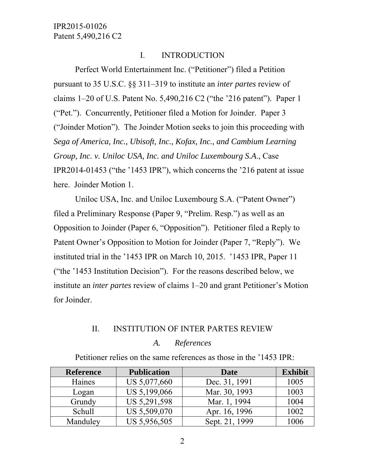### I. INTRODUCTION

Perfect World Entertainment Inc. ("Petitioner") filed a Petition pursuant to 35 U.S.C. §§ 311–319 to institute an *inter partes* review of claims 1–20 of U.S. Patent No. 5,490,216 C2 ("the '216 patent"). Paper 1 ("Pet."). Concurrently, Petitioner filed a Motion for Joinder. Paper 3 ("Joinder Motion"). The Joinder Motion seeks to join this proceeding with *Sega of America, Inc., Ubisoft, Inc., Kofax, Inc., and Cambium Learning Group, Inc. v. Uniloc USA, Inc. and Uniloc Luxembourg S.A*., Case IPR2014-01453 ("the '1453 IPR"), which concerns the '216 patent at issue here. Joinder Motion 1.

Uniloc USA, Inc. and Uniloc Luxembourg S.A. ("Patent Owner") filed a Preliminary Response (Paper 9, "Prelim. Resp.") as well as an Opposition to Joinder (Paper 6, "Opposition"). Petitioner filed a Reply to Patent Owner's Opposition to Motion for Joinder (Paper 7, "Reply"). We instituted trial in the '1453 IPR on March 10, 2015. '1453 IPR, Paper 11 ("the '1453 Institution Decision"). For the reasons described below, we institute an *inter partes* review of claims 1–20 and grant Petitioner's Motion for Joinder.

#### II. INSTITUTION OF INTER PARTES REVIEW

#### *A. References*

Petitioner relies on the same references as those in the '1453 IPR:

| <b>Reference</b> | <b>Publication</b> | <b>Date</b>    | <b>Exhibit</b> |
|------------------|--------------------|----------------|----------------|
| Haines           | US 5,077,660       | Dec. 31, 1991  | 1005           |
| Logan            | US 5,199,066       | Mar. 30, 1993  | 1003           |
| Grundy           | US 5,291,598       | Mar. 1, 1994   | 1004           |
| Schull           | US 5,509,070       | Apr. 16, 1996  | 1002           |
| Manduley         | US 5,956,505       | Sept. 21, 1999 | 1006           |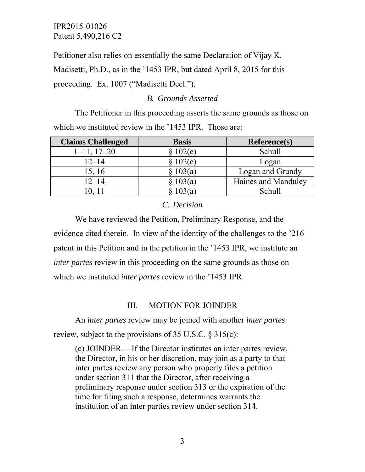Petitioner also relies on essentially the same Declaration of Vijay K. Madisetti, Ph.D., as in the '1453 IPR, but dated April 8, 2015 for this

proceeding. Ex. 1007 ("Madisetti Decl.").

# *B. Grounds Asserted*

The Petitioner in this proceeding asserts the same grounds as those on which we instituted review in the '1453 IPR. Those are:

| <b>Claims Challenged</b> | <b>Basis</b> | <b>Reference(s)</b> |
|--------------------------|--------------|---------------------|
| $1-11$ , $17-20$         | 102(e)       | Schull              |
| $12 - 14$                | 102(e)       | Logan               |
| 15, 16                   | 103(a)       | Logan and Grundy    |
| $12 - 14$                | 103(a)       | Haines and Manduley |
|                          |              | Schull              |

# *C. Decision*

We have reviewed the Petition, Preliminary Response, and the evidence cited therein. In view of the identity of the challenges to the '216 patent in this Petition and in the petition in the '1453 IPR, we institute an *inter partes* review in this proceeding on the same grounds as those on which we instituted *inter partes* review in the '1453 IPR.

# III. MOTION FOR JOINDER

An *inter partes* review may be joined with another *inter partes* review, subject to the provisions of 35 U.S.C. § 315(c):

(c) JOINDER.—If the Director institutes an inter partes review, the Director, in his or her discretion, may join as a party to that inter partes review any person who properly files a petition under section 311 that the Director, after receiving a preliminary response under section 313 or the expiration of the time for filing such a response, determines warrants the institution of an inter parties review under section 314.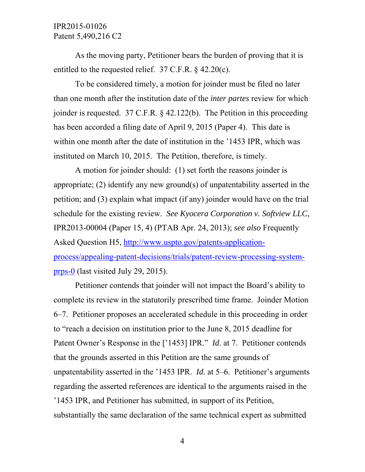As the moving party, Petitioner bears the burden of proving that it is entitled to the requested relief. 37 C.F.R. § 42.20(c).

To be considered timely, a motion for joinder must be filed no later than one month after the institution date of the *inter partes* review for which joinder is requested. 37 C.F.R. § 42.122(b). The Petition in this proceeding has been accorded a filing date of April 9, 2015 (Paper 4). This date is within one month after the date of institution in the '1453 IPR, which was instituted on March 10, 2015. The Petition, therefore, is timely.

A motion for joinder should: (1) set forth the reasons joinder is appropriate; (2) identify any new ground(s) of unpatentability asserted in the petition; and (3) explain what impact (if any) joinder would have on the trial schedule for the existing review. *See Kyocera Corporation v. Softview LLC*, IPR2013-00004 (Paper 15, 4) (PTAB Apr. 24, 2013); *see also* Frequently Asked Question H5, http://www.uspto.gov/patents-applicationprocess/appealing-patent-decisions/trials/patent-review-processing-systemprps-0 (last visited July 29, 2015).

Petitioner contends that joinder will not impact the Board's ability to complete its review in the statutorily prescribed time frame. Joinder Motion 6–7. Petitioner proposes an accelerated schedule in this proceeding in order to "reach a decision on institution prior to the June 8, 2015 deadline for Patent Owner's Response in the ['1453] IPR." *Id*. at 7. Petitioner contends that the grounds asserted in this Petition are the same grounds of unpatentability asserted in the '1453 IPR. *Id*. at 5–6. Petitioner's arguments regarding the asserted references are identical to the arguments raised in the '1453 IPR, and Petitioner has submitted, in support of its Petition, substantially the same declaration of the same technical expert as submitted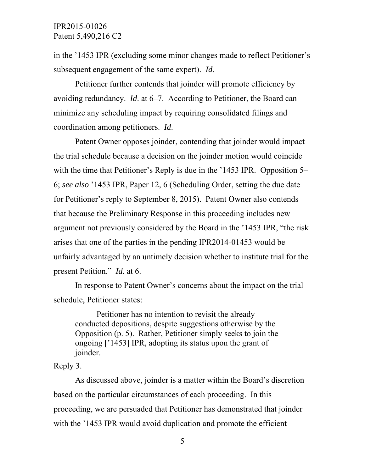in the '1453 IPR (excluding some minor changes made to reflect Petitioner's subsequent engagement of the same expert). *Id*.

Petitioner further contends that joinder will promote efficiency by avoiding redundancy. *Id*. at 6–7. According to Petitioner, the Board can minimize any scheduling impact by requiring consolidated filings and coordination among petitioners. *Id*.

Patent Owner opposes joinder, contending that joinder would impact the trial schedule because a decision on the joinder motion would coincide with the time that Petitioner's Reply is due in the '1453 IPR. Opposition 5– 6; *see also* '1453 IPR, Paper 12, 6 (Scheduling Order, setting the due date for Petitioner's reply to September 8, 2015). Patent Owner also contends that because the Preliminary Response in this proceeding includes new argument not previously considered by the Board in the '1453 IPR, "the risk arises that one of the parties in the pending IPR2014-01453 would be unfairly advantaged by an untimely decision whether to institute trial for the present Petition." *Id*. at 6.

In response to Patent Owner's concerns about the impact on the trial schedule, Petitioner states:

Petitioner has no intention to revisit the already conducted depositions, despite suggestions otherwise by the Opposition (p. 5). Rather, Petitioner simply seeks to join the ongoing ['1453] IPR, adopting its status upon the grant of joinder.

#### Reply 3.

As discussed above, joinder is a matter within the Board's discretion based on the particular circumstances of each proceeding. In this proceeding, we are persuaded that Petitioner has demonstrated that joinder with the '1453 IPR would avoid duplication and promote the efficient

5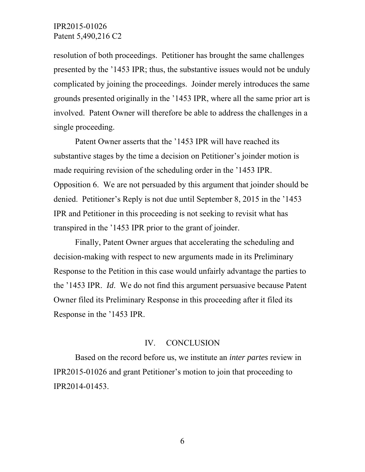resolution of both proceedings. Petitioner has brought the same challenges presented by the '1453 IPR; thus, the substantive issues would not be unduly complicated by joining the proceedings. Joinder merely introduces the same grounds presented originally in the '1453 IPR, where all the same prior art is involved. Patent Owner will therefore be able to address the challenges in a single proceeding.

Patent Owner asserts that the '1453 IPR will have reached its substantive stages by the time a decision on Petitioner's joinder motion is made requiring revision of the scheduling order in the '1453 IPR. Opposition 6. We are not persuaded by this argument that joinder should be denied. Petitioner's Reply is not due until September 8, 2015 in the '1453 IPR and Petitioner in this proceeding is not seeking to revisit what has transpired in the '1453 IPR prior to the grant of joinder.

Finally, Patent Owner argues that accelerating the scheduling and decision-making with respect to new arguments made in its Preliminary Response to the Petition in this case would unfairly advantage the parties to the '1453 IPR. *Id*. We do not find this argument persuasive because Patent Owner filed its Preliminary Response in this proceeding after it filed its Response in the '1453 IPR.

#### IV. CONCLUSION

Based on the record before us, we institute an *inter partes* review in IPR2015-01026 and grant Petitioner's motion to join that proceeding to IPR2014-01453.

6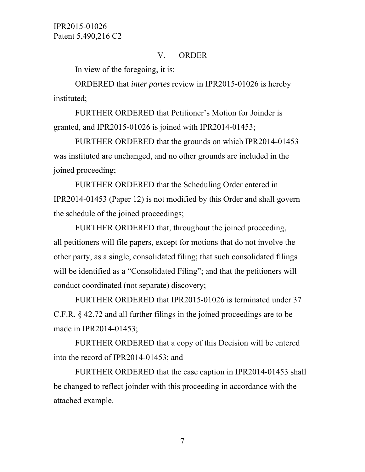### V. ORDER

In view of the foregoing, it is:

ORDERED that *inter partes* review in IPR2015-01026 is hereby instituted;

FURTHER ORDERED that Petitioner's Motion for Joinder is granted, and IPR2015-01026 is joined with IPR2014-01453;

FURTHER ORDERED that the grounds on which IPR2014-01453 was instituted are unchanged, and no other grounds are included in the joined proceeding;

FURTHER ORDERED that the Scheduling Order entered in IPR2014-01453 (Paper 12) is not modified by this Order and shall govern the schedule of the joined proceedings;

FURTHER ORDERED that, throughout the joined proceeding, all petitioners will file papers, except for motions that do not involve the other party, as a single, consolidated filing; that such consolidated filings will be identified as a "Consolidated Filing"; and that the petitioners will conduct coordinated (not separate) discovery;

FURTHER ORDERED that IPR2015-01026 is terminated under 37 C.F.R. § 42.72 and all further filings in the joined proceedings are to be made in IPR2014-01453;

FURTHER ORDERED that a copy of this Decision will be entered into the record of IPR2014-01453; and

FURTHER ORDERED that the case caption in IPR2014-01453 shall be changed to reflect joinder with this proceeding in accordance with the attached example.

7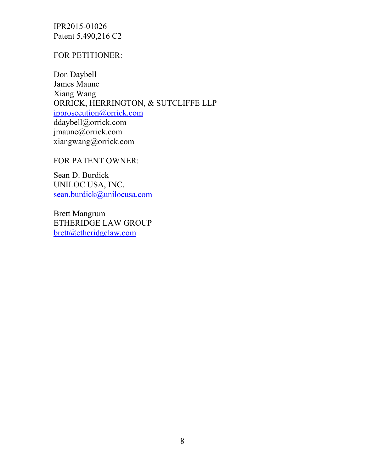### FOR PETITIONER:

Don Daybell James Maune Xiang Wang ORRICK, HERRINGTON, & SUTCLIFFE LLP ipprosecution@orrick.com ddaybell@orrick.com jmaune@orrick.com xiangwang@orrick.com

FOR PATENT OWNER:

Sean D. Burdick UNILOC USA, INC. sean.burdick@unilocusa.com

Brett Mangrum ETHERIDGE LAW GROUP brett@etheridgelaw.com